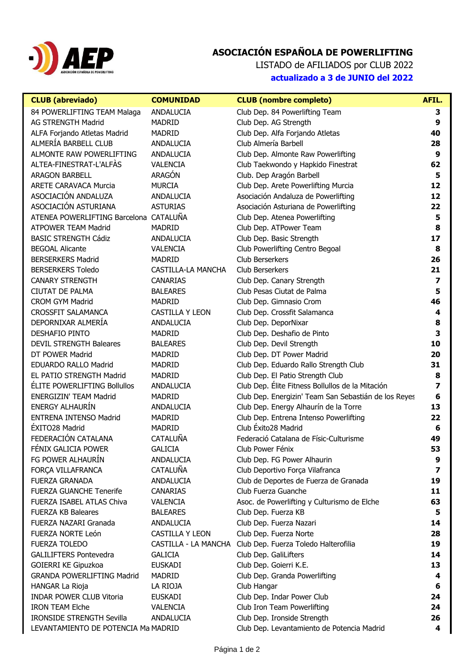

## **ASOCIACIÓN ESPAÑOLA DE POWERLIFTING**

LISTADO de AFILIADOS por CLUB 2022 **actualizado a 3 de JUNIO del 2022**

| <b>CLUB</b> (abreviado)                                                 | <b>COMUNIDAD</b>       | <b>CLUB</b> (nombre completo)                                             | AFIL.                   |
|-------------------------------------------------------------------------|------------------------|---------------------------------------------------------------------------|-------------------------|
| 84 POWERLIFTING TEAM Malaga                                             | ANDALUCIA              | Club Dep. 84 Powerlifting Team                                            | З                       |
| <b>AG STRENGTH Madrid</b>                                               | <b>MADRID</b>          | Club Dep. AG Strength                                                     | 9                       |
| ALFA Forjando Atletas Madrid                                            | <b>MADRID</b>          | Club Dep. Alfa Forjando Atletas                                           | 40                      |
| ALMERÍA BARBELL CLUB                                                    | <b>ANDALUCIA</b>       | Club Almería Barbell                                                      | 28                      |
| ALMONTE RAW POWERLIFTING                                                | ANDALUCIA              | Club Dep. Almonte Raw Powerlifting                                        | 9                       |
| ALTEA-FINESTRAT-L'ALFÀS                                                 | <b>VALENCIA</b>        | Club Taekwondo y Hapkido Finestrat                                        | 62                      |
| <b>ARAGON BARBELL</b>                                                   | <b>ARAGÓN</b>          | Club. Dep Aragón Barbell                                                  | 5                       |
| <b>ARETE CARAVACA Murcia</b>                                            | <b>MURCIA</b>          | Club Dep. Arete Powerlifting Murcia                                       | 12                      |
| ASOCIACIÓN ANDALUZA                                                     | ANDALUCIA              | Asociación Andaluza de Powerlifting                                       | 12                      |
| ASOCIACIÓN ASTURIANA                                                    | <b>ASTURIAS</b>        | Asociación Asturiana de Powerlifting                                      | 22                      |
| ATENEA POWERLIFTING Barcelona CATALUÑA                                  |                        | Club Dep. Atenea Powerlifting                                             | 5                       |
| <b>ATPOWER TEAM Madrid</b>                                              | <b>MADRID</b>          | Club Dep. ATPower Team                                                    | 8                       |
| <b>BASIC STRENGTH Cádiz</b>                                             | ANDALUCIA              | Club Dep. Basic Strength                                                  | 17                      |
| <b>BEGOAL Alicante</b>                                                  | <b>VALENCIA</b>        | Club Powerlifting Centro Begoal                                           | 8                       |
| <b>BERSERKERS Madrid</b>                                                | <b>MADRID</b>          | Club Berserkers                                                           | 26                      |
| <b>BERSERKERS Toledo</b>                                                | CASTILLA-LA MANCHA     | Club Berserkers                                                           | 21                      |
| <b>CANARY STRENGTH</b>                                                  | <b>CANARIAS</b>        | Club Dep. Canary Strength                                                 | $\overline{\mathbf{z}}$ |
| <b>CIUTAT DE PALMA</b>                                                  | <b>BALEARES</b>        | Club Pesas Ciutat de Palma                                                | 5                       |
| <b>CROM GYM Madrid</b>                                                  | <b>MADRID</b>          | Club Dep. Gimnasio Crom                                                   | 46                      |
| <b>CROSSFIT SALAMANCA</b>                                               | <b>CASTILLA Y LEON</b> | Club Dep. Crossfit Salamanca                                              | 4                       |
| DEPORNIXAR ALMERÍA                                                      | ANDALUCIA              | Club Dep. DeporNixar                                                      | 8                       |
| <b>DESHAFIO PINTO</b>                                                   | <b>MADRID</b>          | Club Dep. Deshafio de Pinto                                               | 3                       |
| <b>DEVIL STRENGTH Baleares</b>                                          | <b>BALEARES</b>        | Club Dep. Devil Strength                                                  | 10                      |
| DT POWER Madrid                                                         | <b>MADRID</b>          | Club Dep. DT Power Madrid                                                 | 20                      |
| <b>EDUARDO RALLO Madrid</b>                                             | <b>MADRID</b>          | Club Dep. Eduardo Rallo Strength Club                                     | 31                      |
| EL PATIO STRENGTH Madrid                                                | <b>MADRID</b>          | Club Dep. El Patio Strength Club                                          | 8                       |
| ÉLITE POWERLIFTING Bollullos                                            | ANDALUCIA              | Club Dep. Élite Fitness Bollullos de la Mitación                          | 7                       |
| <b>ENERGIZIN' TEAM Madrid</b>                                           | <b>MADRID</b>          | Club Dep. Energizin' Team San Sebastián de los Reyes                      | 6                       |
| <b>ENERGY ALHAURÍN</b>                                                  | ANDALUCIA              | Club Dep. Energy Alhaurín de la Torre                                     | 13                      |
| <b>ENTRENA INTENSO Madrid</b>                                           | <b>MADRID</b>          | Club Dep. Entrena Intenso Powerlifting                                    | 22                      |
| ÉXITO28 Madrid                                                          | <b>MADRID</b>          | Club Éxito28 Madrid                                                       | 6                       |
| FEDERACIÓN CATALANA                                                     | CATALUÑA               | Federació Catalana de Físic-Culturisme                                    | 49                      |
| FÉNIX GALICIA POWER                                                     | <b>GALICIA</b>         | Club Power Fénix                                                          | 53                      |
| FG POWER ALHAURÍN                                                       | ANDALUCIA              | Club Dep. FG Power Alhaurin                                               | 9                       |
| FORÇA VILLAFRANCA                                                       | CATALUÑA               | Club Deportivo Força Vilafranca                                           | $\overline{\mathbf{z}}$ |
| FUERZA GRANADA                                                          | ANDALUCIA              | Club de Deportes de Fuerza de Granada                                     | 19                      |
| <b>FUERZA GUANCHE Tenerife</b>                                          | <b>CANARIAS</b>        | Club Fuerza Guanche                                                       | 11                      |
| FUERZA ISABEL ATLAS Chiva                                               | <b>VALENCIA</b>        | Asoc. de Powerlifting y Culturismo de Elche                               | 63                      |
| <b>FUERZA KB Baleares</b>                                               | <b>BALEARES</b>        | Club Dep. Fuerza KB                                                       | 5                       |
| FUERZA NAZARI Granada                                                   | ANDALUCIA              | Club Dep. Fuerza Nazari                                                   | 14                      |
| FUERZA NORTE León                                                       | CASTILLA Y LEON        | Club Dep. Fuerza Norte                                                    | 28                      |
| <b>FUERZA TOLEDO</b>                                                    | CASTILLA - LA MANCHA   | Club Dep. Fuerza Toledo Halterofilia                                      | 19                      |
| <b>GALILIFTERS Pontevedra</b>                                           | <b>GALICIA</b>         | Club Dep. GaliLifters                                                     | 14                      |
| GOIERRI KE Gipuzkoa                                                     | <b>EUSKADI</b>         | Club Dep. Goierri K.E.                                                    | 13                      |
| <b>GRANDA POWERLIFTING Madrid</b>                                       | <b>MADRID</b>          | Club Dep. Granda Powerlifting                                             | 4                       |
| HANGAR La Rioja                                                         | LA RIOJA               | Club Hangar                                                               | 6                       |
| <b>INDAR POWER CLUB Vitoria</b>                                         | <b>EUSKADI</b>         | Club Dep. Indar Power Club                                                | 24                      |
| <b>IRON TEAM Elche</b>                                                  | <b>VALENCIA</b>        | Club Iron Team Powerlifting                                               | 24                      |
| <b>IRONSIDE STRENGTH Sevilla</b><br>LEVANTAMIENTO DE POTENCIA Ma MADRID | ANDALUCIA              | Club Dep. Ironside Strength<br>Club Dep. Levantamiento de Potencia Madrid | 26<br>4                 |